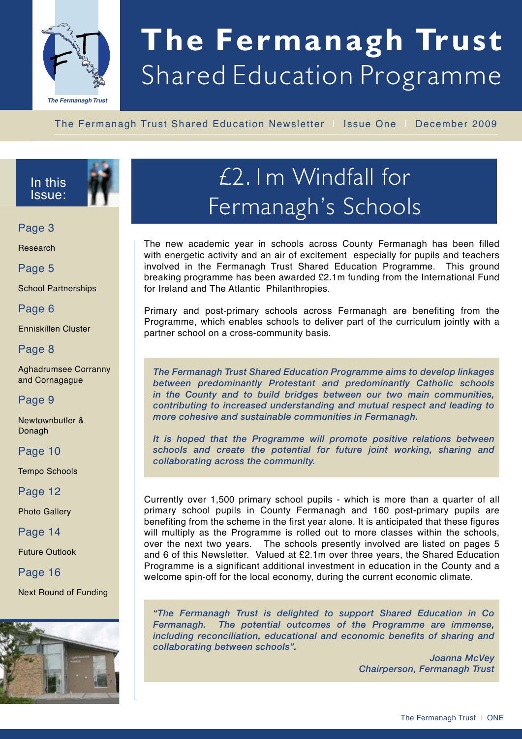

# **The Fermanagh Trust** Shared Education Programme

The Fermanagh Trust Shared Education Newsletter | Issue One | December 2009



Page 3

Research

Page 5

School Partnerships

Page 6

Enniskillen Cluster

#### Page 8

Aghadrumsee Corranny and Cornagague

#### Page 9

Newtownbutler & Donagh

#### Page 10

Tempo Schools

Page 12

Photo Gallery

Page 14

Future Outlook

#### Page 16

Next Round of Funding



## £2.1m Windfall for Fermanagh's Schools

The new academic year in schools across County Fermanagh has been filled with energetic activity and an air of excitement especially for pupils and teachers involved in the Fermanagh Trust Shared Education Programme. This ground breaking programme has been awarded £2.1m funding from the International Fund for Ireland and The Atlantic Philanthropies.

Primary and post-primary schools across Fermanagh are benefiting from the Programme, which enables schools to deliver part of the curriculum jointly with a partner school on a cross-community basis.

*The Fermanagh Trust Shared Education Programme aims to develop linkages between predominantly Protestant and predominantly Catholic schools in the County and to build bridges between our two main communities, contributing to increased understanding and mutual respect and leading to more cohesive and sustainable communities in Fermanagh.* 

*It is hoped that the Programme will promote positive relations between schools and create the potential for future joint working, sharing and collaborating across the community.* 

Currently over 1,500 primary school pupils - which is more than a quarter of all primary school pupils in County Fermanagh and 160 post-primary pupils are benefiting from the scheme in the first year alone. It is anticipated that these figures will multiply as the Programme is rolled out to more classes within the schools, over the next two years. The schools presently involved are listed on pages 5 and 6 of this Newsletter. Valued at £2.1m over three years, the Shared Education Programme is a significant additional investment in education in the County and a welcome spin-off for the local economy, during the current economic climate.

*"The Fermanagh Trust is delighted to support Shared Education in Co Fermanagh. The potential outcomes of the Programme are immense, including reconciliation, educational and economic benefits of sharing and collaborating between schools".* 

> *Joanna McVey Chairperson, Fermanagh Trust*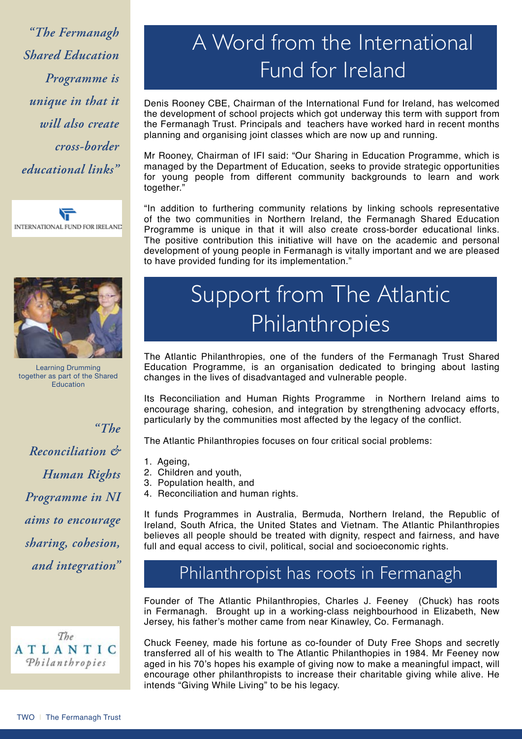*"The Fermanagh Shared Education Programme is unique in that it will also create cross-border educational links"*





Learning Drumming together as part of the Shared Education

*"The Reconciliation & Human Rights Programme in NI aims to encourage sharing, cohesion, and integration"*



### A Word from the International Fund for Ireland

Denis Rooney CBE, Chairman of the International Fund for Ireland, has welcomed the development of school projects which got underway this term with support from the Fermanagh Trust. Principals and teachers have worked hard in recent months planning and organising joint classes which are now up and running.

Mr Rooney, Chairman of IFI said: "Our Sharing in Education Programme, which is managed by the Department of Education, seeks to provide strategic opportunities for young people from different community backgrounds to learn and work together."

"In addition to furthering community relations by linking schools representative of the two communities in Northern Ireland, the Fermanagh Shared Education Programme is unique in that it will also create cross-border educational links. The positive contribution this initiative will have on the academic and personal development of young people in Fermanagh is vitally important and we are pleased to have provided funding for its implementation."

## Support from The Atlantic Philanthropies

The Atlantic Philanthropies, one of the funders of the Fermanagh Trust Shared Education Programme, is an organisation dedicated to bringing about lasting changes in the lives of disadvantaged and vulnerable people.

Its Reconciliation and Human Rights Programme in Northern Ireland aims to encourage sharing, cohesion, and integration by strengthening advocacy efforts, particularly by the communities most affected by the legacy of the conflict.

The Atlantic Philanthropies focuses on four critical social problems:

- 1. Ageing,
- 2. Children and youth,
- 3. Population health, and
- 4. Reconciliation and human rights.

It funds Programmes in Australia, Bermuda, Northern Ireland, the Republic of Ireland, South Africa, the United States and Vietnam. The Atlantic Philanthropies believes all people should be treated with dignity, respect and fairness, and have full and equal access to civil, political, social and socioeconomic rights.

#### Philanthropist has roots in Fermanagh

Founder of The Atlantic Philanthropies, Charles J. Feeney (Chuck) has roots in Fermanagh. Brought up in a working-class neighbourhood in Elizabeth, New Jersey, his father's mother came from near Kinawley, Co. Fermanagh.

Chuck Feeney, made his fortune as co-founder of Duty Free Shops and secretly transferred all of his wealth to The Atlantic Philanthopies in 1984. Mr Feeney now aged in his 70's hopes his example of giving now to make a meaningful impact, will encourage other philanthropists to increase their charitable giving while alive. He intends "Giving While Living" to be his legacy.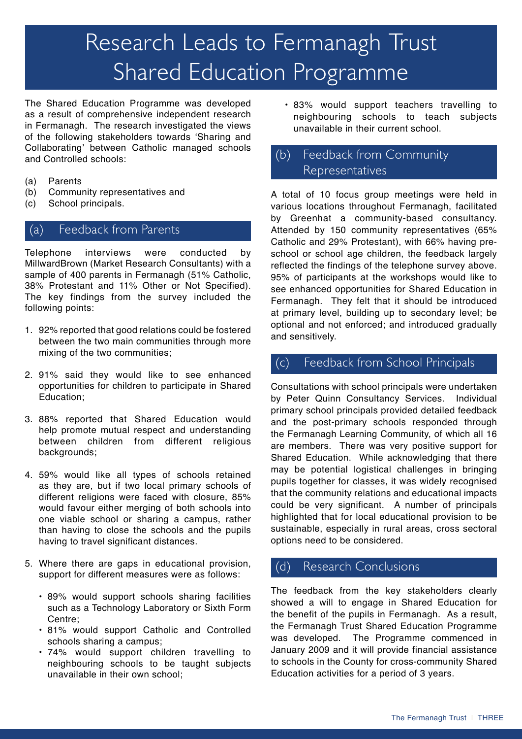## Research Leads to Fermanagh Trust Shared Education Programme

The Shared Education Programme was developed as a result of comprehensive independent research in Fermanagh. The research investigated the views of the following stakeholders towards 'Sharing and Collaborating' between Catholic managed schools and Controlled schools:

- (a) Parents
- (b) Community representatives and
- (c) School principals.

#### (a) Feedback from Parents

Telephone interviews were conducted by MillwardBrown (Market Research Consultants) with a sample of 400 parents in Fermanagh (51% Catholic, 38% Protestant and 11% Other or Not Specified). The key findings from the survey included the following points:

- 1. 92% reported that good relations could be fostered between the two main communities through more mixing of the two communities;
- 2. 91% said they would like to see enhanced opportunities for children to participate in Shared Education;
- 3. 88% reported that Shared Education would help promote mutual respect and understanding between children from different religious backgrounds;
- 4. 59% would like all types of schools retained as they are, but if two local primary schools of different religions were faced with closure, 85% would favour either merging of both schools into one viable school or sharing a campus, rather than having to close the schools and the pupils having to travel significant distances.
- 5. Where there are gaps in educational provision, support for different measures were as follows:
	- 89% would support schools sharing facilities such as a Technology Laboratory or Sixth Form Centre;
	- 81% would support Catholic and Controlled schools sharing a campus;
	- 74% would support children travelling to neighbouring schools to be taught subjects unavailable in their own school;

• 83% would support teachers travelling to neighbouring schools to teach subjects unavailable in their current school.

#### (b) Feedback from Community Representatives

A total of 10 focus group meetings were held in various locations throughout Fermanagh, facilitated by Greenhat a community-based consultancy. Attended by 150 community representatives (65% Catholic and 29% Protestant), with 66% having preschool or school age children, the feedback largely reflected the findings of the telephone survey above. 95% of participants at the workshops would like to see enhanced opportunities for Shared Education in Fermanagh. They felt that it should be introduced at primary level, building up to secondary level; be optional and not enforced; and introduced gradually and sensitively.

#### (c) Feedback from School Principals

Consultations with school principals were undertaken by Peter Quinn Consultancy Services. Individual primary school principals provided detailed feedback and the post-primary schools responded through the Fermanagh Learning Community, of which all 16 are members. There was very positive support for Shared Education. While acknowledging that there may be potential logistical challenges in bringing pupils together for classes, it was widely recognised that the community relations and educational impacts could be very significant. A number of principals highlighted that for local educational provision to be sustainable, especially in rural areas, cross sectoral options need to be considered.

#### (d) Research Conclusions

The feedback from the key stakeholders clearly showed a will to engage in Shared Education for the benefit of the pupils in Fermanagh. As a result, the Fermanagh Trust Shared Education Programme was developed. The Programme commenced in January 2009 and it will provide financial assistance to schools in the County for cross-community Shared Education activities for a period of 3 years.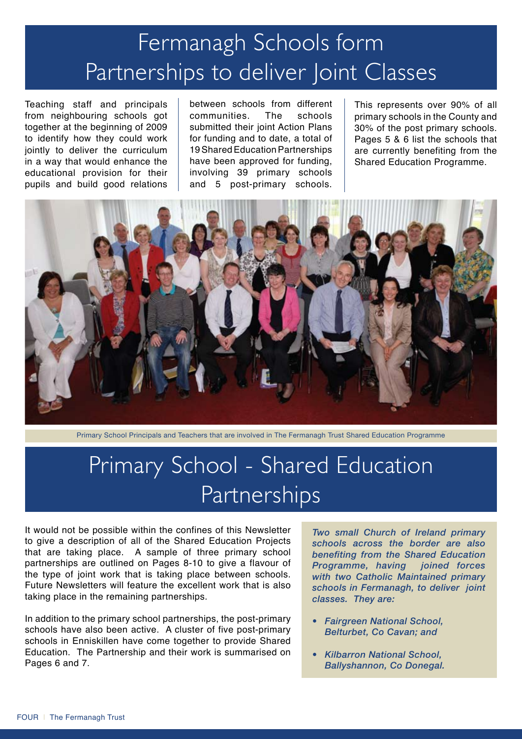## Fermanagh Schools form Partnerships to deliver Joint Classes

Teaching staff and principals from neighbouring schools got together at the beginning of 2009 to identify how they could work jointly to deliver the curriculum in a way that would enhance the educational provision for their pupils and build good relations

between schools from different communities. The schools submitted their joint Action Plans for funding and to date, a total of 19 Shared Education Partnerships have been approved for funding, involving 39 primary schools and 5 post-primary schools. This represents over 90% of all primary schools in the County and 30% of the post primary schools. Pages 5 & 6 list the schools that are currently benefiting from the Shared Education Programme.



Primary School Principals and Teachers that are involved in The Fermanagh Trust Shared Education Programme

### Primary School - Shared Education Partnerships

It would not be possible within the confines of this Newsletter to give a description of all of the Shared Education Projects that are taking place. A sample of three primary school partnerships are outlined on Pages 8-10 to give a flavour of the type of joint work that is taking place between schools. Future Newsletters will feature the excellent work that is also taking place in the remaining partnerships.

In addition to the primary school partnerships, the post-primary schools have also been active. A cluster of five post-primary schools in Enniskillen have come together to provide Shared Education. The Partnership and their work is summarised on Pages 6 and 7.

*Two small Church of Ireland primary schools across the border are also benefiting from the Shared Education Programme, having joined forces with two Catholic Maintained primary schools in Fermanagh, to deliver joint classes. They are:*

- *Fairgreen National School, Belturbet, Co Cavan; and*
- *Kilbarron National School, Ballyshannon, Co Donegal.*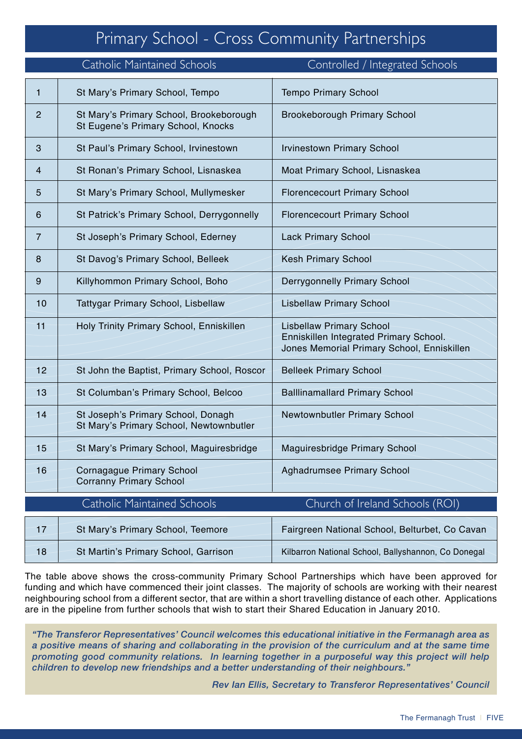#### Primary School - Cross Community Partnerships

|                | <b>Catholic Maintained Schools</b>                                            | Controlled / Integrated Schools                                                                                         |
|----------------|-------------------------------------------------------------------------------|-------------------------------------------------------------------------------------------------------------------------|
| 1              | St Mary's Primary School, Tempo                                               | <b>Tempo Primary School</b>                                                                                             |
| $\overline{c}$ | St Mary's Primary School, Brookeborough<br>St Eugene's Primary School, Knocks | <b>Brookeborough Primary School</b>                                                                                     |
| 3              | St Paul's Primary School, Irvinestown                                         | <b>Irvinestown Primary School</b>                                                                                       |
| 4              | St Ronan's Primary School, Lisnaskea                                          | Moat Primary School, Lisnaskea                                                                                          |
| 5              | St Mary's Primary School, Mullymesker                                         | <b>Florencecourt Primary School</b>                                                                                     |
| 6              | St Patrick's Primary School, Derrygonnelly                                    | <b>Florencecourt Primary School</b>                                                                                     |
| $\overline{7}$ | St Joseph's Primary School, Ederney                                           | <b>Lack Primary School</b>                                                                                              |
| 8              | St Davog's Primary School, Belleek                                            | <b>Kesh Primary School</b>                                                                                              |
| 9              | Killyhommon Primary School, Boho                                              | <b>Derrygonnelly Primary School</b>                                                                                     |
| 10             | Tattygar Primary School, Lisbellaw                                            | <b>Lisbellaw Primary School</b>                                                                                         |
| 11             | Holy Trinity Primary School, Enniskillen                                      | <b>Lisbellaw Primary School</b><br>Enniskillen Integrated Primary School.<br>Jones Memorial Primary School, Enniskillen |
| 12             | St John the Baptist, Primary School, Roscor                                   | <b>Belleek Primary School</b>                                                                                           |
| 13             | St Columban's Primary School, Belcoo                                          | <b>Balllinamallard Primary School</b>                                                                                   |
| 14             | St Joseph's Primary School, Donagh<br>St Mary's Primary School, Newtownbutler | Newtownbutler Primary School                                                                                            |
| 15             | St Mary's Primary School, Maguiresbridge                                      | Maguiresbridge Primary School                                                                                           |
| 16             | <b>Cornagague Primary School</b><br><b>Corranny Primary School</b>            | Aghadrumsee Primary School                                                                                              |
|                | <b>Catholic Maintained Schools</b>                                            | Church of Ireland Schools (ROI)                                                                                         |
| 17             | St Mary's Primary School, Teemore                                             | Fairgreen National School, Belturbet, Co Cavan                                                                          |
| 18             | St Martin's Primary School, Garrison                                          | Kilbarron National School, Ballyshannon, Co Donegal                                                                     |

The table above shows the cross-community Primary School Partnerships which have been approved for funding and which have commenced their joint classes. The majority of schools are working with their nearest neighbouring school from a different sector, that are within a short travelling distance of each other. Applications are in the pipeline from further schools that wish to start their Shared Education in January 2010.

*"The Transferor Representatives' Council welcomes this educational initiative in the Fermanagh area as a positive means of sharing and collaborating in the provision of the curriculum and at the same time promoting good community relations. In learning together in a purposeful way this project will help children to develop new friendships and a better understanding of their neighbours."*

*Rev Ian Ellis, Secretary to Transferor Representatives' Council*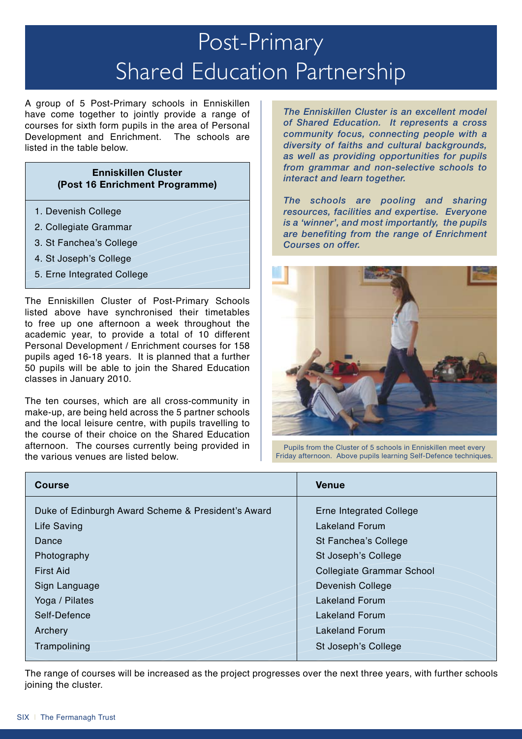## Post-Primary Shared Education Partnership

A group of 5 Post-Primary schools in Enniskillen have come together to jointly provide a range of courses for sixth form pupils in the area of Personal Development and Enrichment. The schools are listed in the table below.

#### **Enniskillen Cluster (Post 16 Enrichment Programme)**

- 1. Devenish College
- 2. Collegiate Grammar
- 3. St Fanchea's College
- 4. St Joseph's College
- 5. Erne Integrated College

The Enniskillen Cluster of Post-Primary Schools listed above have synchronised their timetables to free up one afternoon a week throughout the academic year, to provide a total of 10 different Personal Development / Enrichment courses for 158 pupils aged 16-18 years. It is planned that a further 50 pupils will be able to join the Shared Education classes in January 2010.

The ten courses, which are all cross-community in make-up, are being held across the 5 partner schools and the local leisure centre, with pupils travelling to the course of their choice on the Shared Education afternoon. The courses currently being provided in the various venues are listed below.

*The Enniskillen Cluster is an excellent model of Shared Education. It represents a cross community focus, connecting people with a diversity of faiths and cultural backgrounds, as well as providing opportunities for pupils from grammar and non-selective schools to interact and learn together.* 

*The schools are pooling and sharing resources, facilities and expertise. Everyone is a 'winner', and most importantly, the pupils are benefiting from the range of Enrichment Courses on offer.* 



Pupils from the Cluster of 5 schools in Enniskillen meet every Friday afternoon. Above pupils learning Self-Defence techniques.

| <b>Course</b>                                      | <b>Venue</b>                     |
|----------------------------------------------------|----------------------------------|
| Duke of Edinburgh Award Scheme & President's Award | Erne Integrated College          |
| Life Saving                                        | <b>Lakeland Forum</b>            |
| Dance                                              | St Fanchea's College             |
| Photography                                        | St Joseph's College              |
| <b>First Aid</b>                                   | <b>Collegiate Grammar School</b> |
| Sign Language                                      | <b>Devenish College</b>          |
| Yoga / Pilates                                     | <b>Lakeland Forum</b>            |
| Self-Defence                                       | <b>Lakeland Forum</b>            |
| Archery                                            | <b>Lakeland Forum</b>            |
| Trampolining                                       | St Joseph's College              |

The range of courses will be increased as the project progresses over the next three years, with further schools joining the cluster.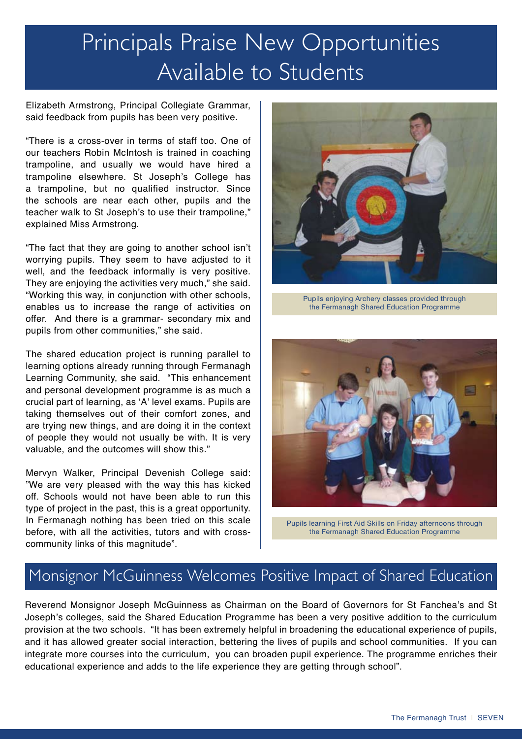### Principals Praise New Opportunities Available to Students

Elizabeth Armstrong, Principal Collegiate Grammar, said feedback from pupils has been very positive.

"There is a cross-over in terms of staff too. One of our teachers Robin McIntosh is trained in coaching trampoline, and usually we would have hired a trampoline elsewhere. St Joseph's College has a trampoline, but no qualified instructor. Since the schools are near each other, pupils and the teacher walk to St Joseph's to use their trampoline," explained Miss Armstrong.

"The fact that they are going to another school isn't worrying pupils. They seem to have adjusted to it well, and the feedback informally is very positive. They are enjoying the activities very much," she said. "Working this way, in conjunction with other schools, enables us to increase the range of activities on offer. And there is a grammar- secondary mix and pupils from other communities," she said.

The shared education project is running parallel to learning options already running through Fermanagh Learning Community, she said. "This enhancement and personal development programme is as much a crucial part of learning, as 'A' level exams. Pupils are taking themselves out of their comfort zones, and are trying new things, and are doing it in the context of people they would not usually be with. It is very valuable, and the outcomes will show this."

Mervyn Walker, Principal Devenish College said: "We are very pleased with the way this has kicked off. Schools would not have been able to run this type of project in the past, this is a great opportunity. In Fermanagh nothing has been tried on this scale before, with all the activities, tutors and with crosscommunity links of this magnitude".



Pupils enjoying Archery classes provided through the Fermanagh Shared Education Programme



Pupils learning First Aid Skills on Friday afternoons through the Fermanagh Shared Education Programme

#### Monsignor McGuinness Welcomes Positive Impact of Shared Education

Reverend Monsignor Joseph McGuinness as Chairman on the Board of Governors for St Fanchea's and St Joseph's colleges, said the Shared Education Programme has been a very positive addition to the curriculum provision at the two schools. "It has been extremely helpful in broadening the educational experience of pupils, and it has allowed greater social interaction, bettering the lives of pupils and school communities. If you can integrate more courses into the curriculum, you can broaden pupil experience. The programme enriches their educational experience and adds to the life experience they are getting through school".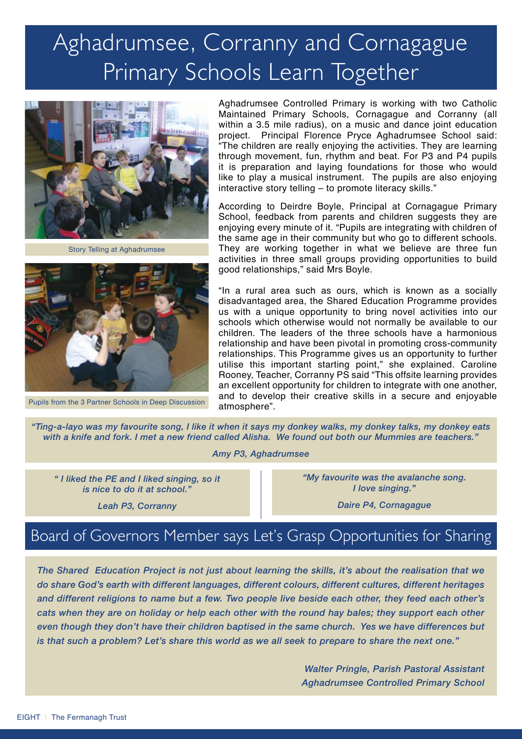## Aghadrumsee, Corranny and Cornagague Primary Schools Learn Together



Story Telling at Aghadrumsee



Pupils from the 3 Partner Schools in Deep Discussion

Aghadrumsee Controlled Primary is working with two Catholic Maintained Primary Schools, Cornagague and Corranny (all within a 3.5 mile radius), on a music and dance joint education project. Principal Florence Pryce Aghadrumsee School said: "The children are really enjoying the activities. They are learning through movement, fun, rhythm and beat. For P3 and P4 pupils it is preparation and laying foundations for those who would like to play a musical instrument. The pupils are also enjoying interactive story telling – to promote literacy skills."

According to Deirdre Boyle, Principal at Cornagague Primary School, feedback from parents and children suggests they are enjoying every minute of it. "Pupils are integrating with children of the same age in their community but who go to different schools. They are working together in what we believe are three fun activities in three small groups providing opportunities to build good relationships," said Mrs Boyle.

"In a rural area such as ours, which is known as a socially disadvantaged area, the Shared Education Programme provides us with a unique opportunity to bring novel activities into our schools which otherwise would not normally be available to our children. The leaders of the three schools have a harmonious relationship and have been pivotal in promoting cross-community relationships. This Programme gives us an opportunity to further utilise this important starting point," she explained. Caroline Rooney, Teacher, Corranny PS said "This offsite learning provides an excellent opportunity for children to integrate with one another, and to develop their creative skills in a secure and enjoyable atmosphere".

*"Ting-a-layo was my favourite song, I like it when it says my donkey walks, my donkey talks, my donkey eats with a knife and fork. I met a new friend called Alisha. We found out both our Mummies are teachers."*

*Amy P3, Aghadrumsee* 

*" I liked the PE and I liked singing, so it is nice to do it at school."*

*Leah P3, Corranny*

*"My favourite was the avalanche song. I love singing."*

*Daire P4, Cornagague*

#### Board of Governors Member says Let's Grasp Opportunities for Sharing

*The Shared Education Project is not just about learning the skills, it's about the realisation that we do share God's earth with different languages, different colours, different cultures, different heritages and different religions to name but a few. Two people live beside each other, they feed each other's cats when they are on holiday or help each other with the round hay bales; they support each other even though they don't have their children baptised in the same church. Yes we have differences but is that such a problem? Let's share this world as we all seek to prepare to share the next one."*

> *Walter Pringle, Parish Pastoral Assistant Aghadrumsee Controlled Primary School*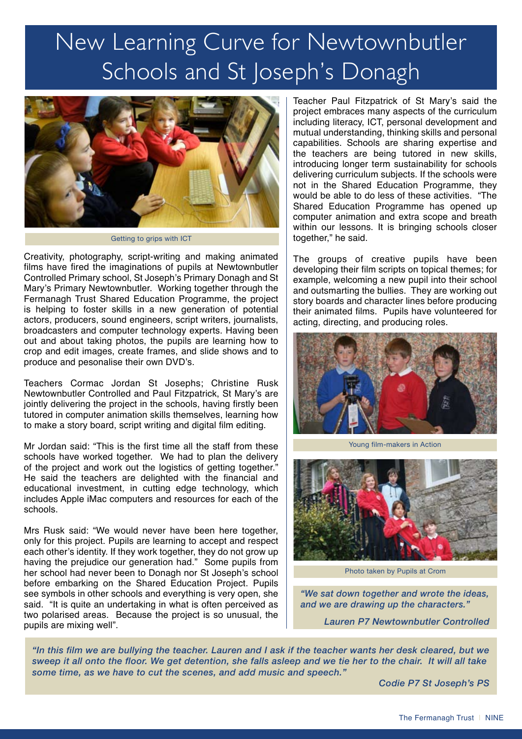## New Learning Curve for Newtownbutler Schools and St Joseph's Donagh



Getting to grips with ICT

Creativity, photography, script-writing and making animated films have fired the imaginations of pupils at Newtownbutler Controlled Primary school, St Joseph's Primary Donagh and St Mary's Primary Newtownbutler. Working together through the Fermanagh Trust Shared Education Programme, the project is helping to foster skills in a new generation of potential actors, producers, sound engineers, script writers, journalists, broadcasters and computer technology experts. Having been out and about taking photos, the pupils are learning how to crop and edit images, create frames, and slide shows and to produce and pesonalise their own DVD's.

Teachers Cormac Jordan St Josephs; Christine Rusk Newtownbutler Controlled and Paul Fitzpatrick, St Mary's are jointly delivering the project in the schools, having firstly been tutored in computer animation skills themselves, learning how to make a story board, script writing and digital film editing.

Mr Jordan said: "This is the first time all the staff from these schools have worked together. We had to plan the delivery of the project and work out the logistics of getting together." He said the teachers are delighted with the financial and educational investment, in cutting edge technology, which includes Apple iMac computers and resources for each of the schools.

Mrs Rusk said: "We would never have been here together, only for this project. Pupils are learning to accept and respect each other's identity. If they work together, they do not grow up having the prejudice our generation had." Some pupils from her school had never been to Donagh nor St Joseph's school before embarking on the Shared Education Project. Pupils see symbols in other schools and everything is very open, she said. "It is quite an undertaking in what is often perceived as two polarised areas. Because the project is so unusual, the pupils are mixing well".

Teacher Paul Fitzpatrick of St Mary's said the project embraces many aspects of the curriculum including literacy, ICT, personal development and mutual understanding, thinking skills and personal capabilities. Schools are sharing expertise and the teachers are being tutored in new skills, introducing longer term sustainability for schools delivering curriculum subjects. If the schools were not in the Shared Education Programme, they would be able to do less of these activities. "The Shared Education Programme has opened up computer animation and extra scope and breath within our lessons. It is bringing schools closer together," he said.

The groups of creative pupils have been developing their film scripts on topical themes; for example, welcoming a new pupil into their school and outsmarting the bullies. They are working out story boards and character lines before producing their animated films. Pupils have volunteered for acting, directing, and producing roles.



Young film-makers in Action



Photo taken by Pupils at Crom

*"We sat down together and wrote the ideas, and we are drawing up the characters."* 

*Lauren P7 Newtownbutler Controlled* 

*"In this film we are bullying the teacher. Lauren and I ask if the teacher wants her desk cleared, but we sweep it all onto the floor. We get detention, she falls asleep and we tie her to the chair. It will all take some time, as we have to cut the scenes, and add music and speech."* 

*Codie P7 St Joseph's PS*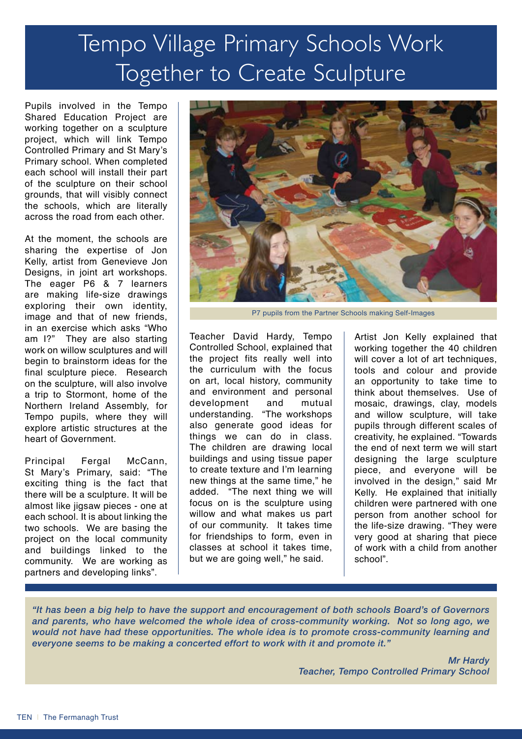## Tempo Village Primary Schools Work Together to Create Sculpture

Pupils involved in the Tempo Shared Education Project are working together on a sculpture project, which will link Tempo Controlled Primary and St Mary's Primary school. When completed each school will install their part of the sculpture on their school grounds, that will visibly connect the schools, which are literally across the road from each other.

At the moment, the schools are sharing the expertise of Jon Kelly, artist from Genevieve Jon Designs, in joint art workshops. The eager P6 & 7 learners are making life-size drawings exploring their own identity, image and that of new friends, in an exercise which asks "Who am I?" They are also starting work on willow sculptures and will begin to brainstorm ideas for the final sculpture piece. Research on the sculpture, will also involve a trip to Stormont, home of the Northern Ireland Assembly, for Tempo pupils, where they will explore artistic structures at the heart of Government.

Principal Fergal McCann, St Mary's Primary, said: "The exciting thing is the fact that there will be a sculpture. It will be almost like jigsaw pieces - one at each school. It is about linking the two schools. We are basing the project on the local community and buildings linked to the community. We are working as partners and developing links".



P7 pupils from the Partner Schools making Self-Images

Teacher David Hardy, Tempo Controlled School, explained that the project fits really well into the curriculum with the focus on art, local history, community and environment and personal development and mutual understanding. "The workshops also generate good ideas for things we can do in class. The children are drawing local buildings and using tissue paper to create texture and I'm learning new things at the same time," he added. "The next thing we will focus on is the sculpture using willow and what makes us part of our community. It takes time for friendships to form, even in classes at school it takes time, but we are going well," he said.

Artist Jon Kelly explained that working together the 40 children will cover a lot of art techniques, tools and colour and provide an opportunity to take time to think about themselves. Use of mosaic, drawings, clay, models and willow sculpture, will take pupils through different scales of creativity, he explained. "Towards the end of next term we will start designing the large sculpture piece, and everyone will be involved in the design," said Mr Kelly. He explained that initially children were partnered with one person from another school for the life-size drawing. "They were very good at sharing that piece of work with a child from another school".

*"It has been a big help to have the support and encouragement of both schools Board's of Governors and parents, who have welcomed the whole idea of cross-community working. Not so long ago, we would not have had these opportunities. The whole idea is to promote cross-community learning and everyone seems to be making a concerted effort to work with it and promote it."*

> *Mr Hardy Teacher, Tempo Controlled Primary School*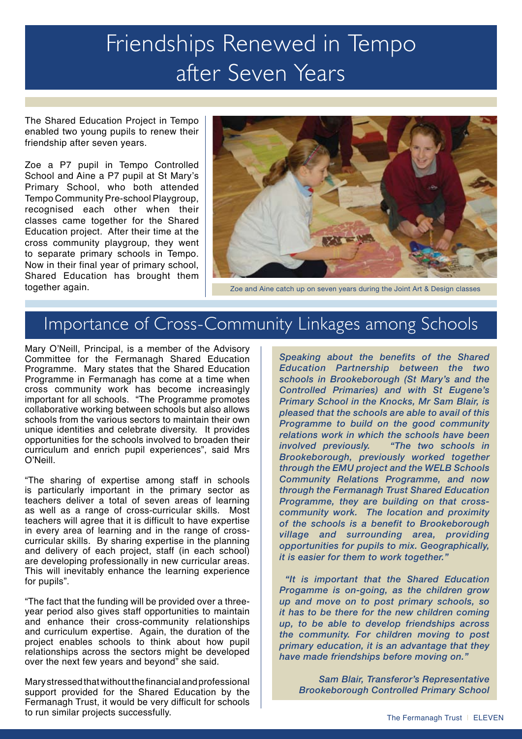### Friendships Renewed in Tempo after Seven Years

The Shared Education Project in Tempo enabled two young pupils to renew their friendship after seven years.

Zoe a P7 pupil in Tempo Controlled School and Aine a P7 pupil at St Mary's Primary School, who both attended Tempo Community Pre-school Playgroup, recognised each other when their classes came together for the Shared Education project. After their time at the cross community playgroup, they went to separate primary schools in Tempo. Now in their final year of primary school, Shared Education has brought them together again.



Zoe and Aine catch up on seven years during the Joint Art & Design classes

#### Importance of Cross-Community Linkages among Schools

Mary O'Neill, Principal, is a member of the Advisory Committee for the Fermanagh Shared Education Programme. Mary states that the Shared Education Programme in Fermanagh has come at a time when cross community work has become increasingly important for all schools. "The Programme promotes collaborative working between schools but also allows schools from the various sectors to maintain their own unique identities and celebrate diversity. It provides opportunities for the schools involved to broaden their curriculum and enrich pupil experiences", said Mrs O'Neill.

"The sharing of expertise among staff in schools is particularly important in the primary sector as teachers deliver a total of seven areas of learning as well as a range of cross-curricular skills. Most teachers will agree that it is difficult to have expertise in every area of learning and in the range of crosscurricular skills. By sharing expertise in the planning and delivery of each project, staff (in each school) are developing professionally in new curricular areas. This will inevitably enhance the learning experience for pupils".

"The fact that the funding will be provided over a threeyear period also gives staff opportunities to maintain and enhance their cross-community relationships and curriculum expertise. Again, the duration of the project enables schools to think about how pupil relationships across the sectors might be developed over the next few years and beyond" she said.

Mary stressed that without the financial and professional support provided for the Shared Education by the Fermanagh Trust, it would be very difficult for schools to run similar projects successfully.<br>
The Fermanagh Trust | ELEVEN

*Speaking about the benefits of the Shared Education Partnership between the two schools in Brookeborough (St Mary's and the Controlled Primaries) and with St Eugene's Primary School in the Knocks, Mr Sam Blair, is pleased that the schools are able to avail of this Programme to build on the good community relations work in which the schools have been involved previously. "The two schools in Brookeborough, previously worked together through the EMU project and the WELB Schools Community Relations Programme, and now through the Fermanagh Trust Shared Education Programme, they are building on that crosscommunity work. The location and proximity of the schools is a benefit to Brookeborough village and surrounding area, providing opportunities for pupils to mix. Geographically, it is easier for them to work together."* 

 *"It is important that the Shared Education Progamme is on-going, as the children grow up and move on to post primary schools, so it has to be there for the new children coming up, to be able to develop friendships across the community. For children moving to post primary education, it is an advantage that they have made friendships before moving on."*

*Sam Blair, Transferor's Representative Brookeborough Controlled Primary School*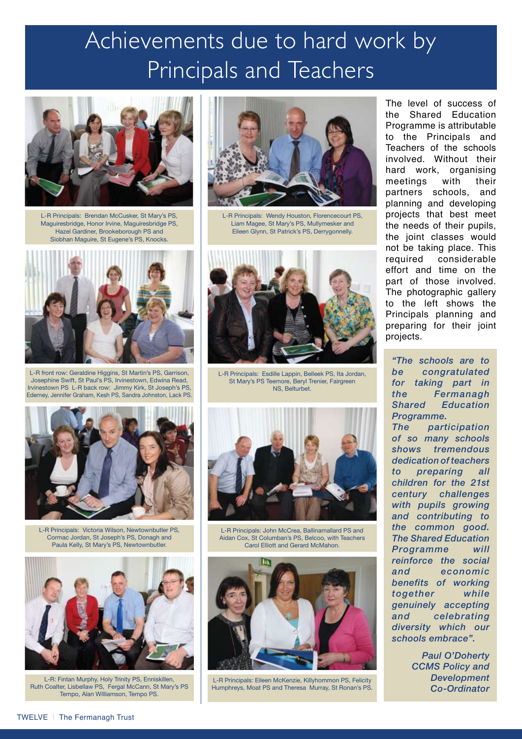### Achievements due to hard work by Principals and Teachers



L-R Principals: Brendan McCusker, St Mary's PS, Maguiresbridge, Honor Irvine, Maguiresbridge PS, Hazel Gardiner, Brookeborough PS and Siobhan Maguire, St Eugene's PS, Knocks.



L-R front row: Geraldine Higgins, St Martin's PS, Garrison, Josephine Swift, St Paul's PS, Irvinestown, Edwina Read, Irvinestown PS L-R back row: Jimmy Kirk, St Joseph's PS, Ederney, Jennifer Graham, Kesh PS, Sandra Johnston, Lack PS.



L-R Principals: Victoria Wilson, Newtownbutler PS, Cormac Jordan, St Joseph's PS, Donagh and Paula Kelly, St Mary's PS, Newtownbutler.



L-R: Fintan Murphy, Holy Trinity PS, Enniskillen, Ruth Coalter, Lisbellaw PS, Fergal McCann, St Mary's PS Tempo, Alan Williamson, Tempo PS.



L-R Principals: Wendy Houston, Florencecourt PS, Liam Magee, St Mary's PS, Mullymesker and Eileen Glynn, St Patrick's PS, Derrygonnelly.



L-R Principals: Esdille Lappin, Belleek PS, Ita Jordan, St Mary's PS Teemore, Beryl Trenier, Fairgreen NS, Belturbet.



L-R Principals: John McCrea, Ballinamallard PS and Aidan Cox, St Columban's PS, Belcoo, with Teachers Carol Elliott and Gerard McMahon.



L-R Principals: Eileen McKenzie, Killyhommon PS, Felicity Humphreys, Moat PS and Theresa Murray, St Ronan's PS.

The level of success of the Shared Education Programme is attributable to the Principals and Teachers of the schools involved. Without their hard work, organising meetings with their partners schools, and planning and developing projects that best meet the needs of their pupils, the joint classes would not be taking place. This required considerable effort and time on the part of those involved. The photographic gallery to the left shows the Principals planning and preparing for their joint projects.

*"The schools are to be congratulated for taking part in the Fermanagh Shared Education Programme. The participation of so many schools shows tremendous dedication of teachers to preparing all children for the 21st century challenges with pupils growing and contributing to the common good. The Shared Education Programme will reinforce the social and economic benefits of working together while genuinely accepting and celebrating diversity which our schools embrace".*

> *Paul O'Doherty CCMS Policy and Development Co-Ordinator*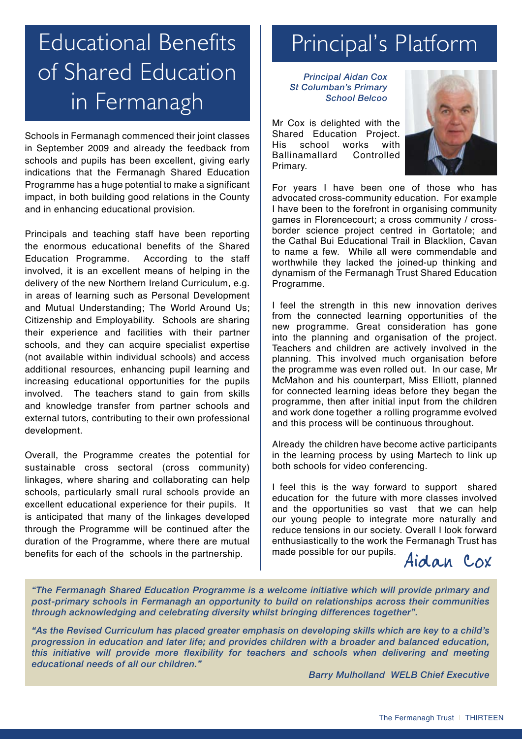## Educational Benefits of Shared Education in Fermanagh

Schools in Fermanagh commenced their joint classes in September 2009 and already the feedback from schools and pupils has been excellent, giving early indications that the Fermanagh Shared Education Programme has a huge potential to make a significant impact, in both building good relations in the County and in enhancing educational provision.

Principals and teaching staff have been reporting the enormous educational benefits of the Shared Education Programme. According to the staff involved, it is an excellent means of helping in the delivery of the new Northern Ireland Curriculum, e.g. in areas of learning such as Personal Development and Mutual Understanding; The World Around Us; Citizenship and Employability. Schools are sharing their experience and facilities with their partner schools, and they can acquire specialist expertise (not available within individual schools) and access additional resources, enhancing pupil learning and increasing educational opportunities for the pupils involved. The teachers stand to gain from skills and knowledge transfer from partner schools and external tutors, contributing to their own professional development.

Overall, the Programme creates the potential for sustainable cross sectoral (cross community) linkages, where sharing and collaborating can help schools, particularly small rural schools provide an excellent educational experience for their pupils. It is anticipated that many of the linkages developed through the Programme will be continued after the duration of the Programme, where there are mutual benefits for each of the schools in the partnership.

### Principal's Platform

*Principal Aidan Cox St Columban's Primary School Belcoo*

Mr Cox is delighted with the Shared Education Project. His school works with Ballinamallard Controlled Primary.



For years I have been one of those who has advocated cross-community education. For example I have been to the forefront in organising community games in Florencecourt; a cross community / crossborder science project centred in Gortatole; and the Cathal Bui Educational Trail in Blacklion, Cavan to name a few. While all were commendable and worthwhile they lacked the joined-up thinking and dynamism of the Fermanagh Trust Shared Education Programme.

I feel the strength in this new innovation derives from the connected learning opportunities of the new programme. Great consideration has gone into the planning and organisation of the project. Teachers and children are actively involved in the planning. This involved much organisation before the programme was even rolled out. In our case, Mr McMahon and his counterpart, Miss Elliott, planned for connected learning ideas before they began the programme, then after initial input from the children and work done together a rolling programme evolved and this process will be continuous throughout.

Already the children have become active participants in the learning process by using Martech to link up both schools for video conferencing.

I feel this is the way forward to support shared education for the future with more classes involved and the opportunities so vast that we can help our young people to integrate more naturally and reduce tensions in our society. Overall I look forward enthusiastically to the work the Fermanagh Trust has made possible for our pupils.  $Aidan$  Cox

*"The Fermanagh Shared Education Programme is a welcome initiative which will provide primary and post-primary schools in Fermanagh an opportunity to build on relationships across their communities through acknowledging and celebrating diversity whilst bringing differences together".* 

*"As the Revised Curriculum has placed greater emphasis on developing skills which are key to a child's progression in education and later life; and provides children with a broader and balanced education, this initiative will provide more flexibility for teachers and schools when delivering and meeting educational needs of all our children."*

*Barry Mulholland WELB Chief Executive*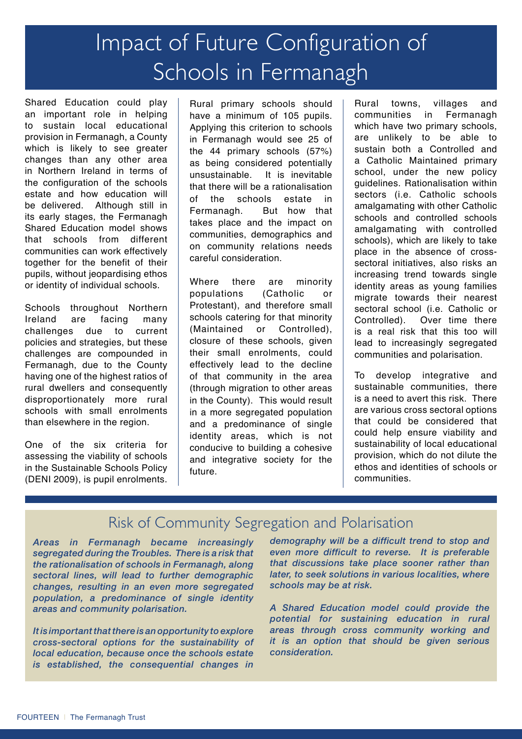### Impact of Future Configuration of Schools in Fermanagh

Shared Education could play an important role in helping to sustain local educational provision in Fermanagh, a County which is likely to see greater changes than any other area in Northern Ireland in terms of the configuration of the schools estate and how education will be delivered. Although still in its early stages, the Fermanagh Shared Education model shows that schools from different communities can work effectively together for the benefit of their pupils, without jeopardising ethos or identity of individual schools.

Schools throughout Northern Ireland are facing many<br>challenges due to current challenges due to policies and strategies, but these challenges are compounded in Fermanagh, due to the County having one of the highest ratios of rural dwellers and consequently disproportionately more rural schools with small enrolments than elsewhere in the region.

One of the six criteria for assessing the viability of schools in the Sustainable Schools Policy (DENI 2009), is pupil enrolments.

Rural primary schools should have a minimum of 105 pupils. Applying this criterion to schools in Fermanagh would see 25 of the 44 primary schools (57%) as being considered potentially unsustainable. It is inevitable that there will be a rationalisation of the schools estate in Fermanagh. But how that takes place and the impact on communities, demographics and on community relations needs careful consideration.

Where there are minority populations (Catholic or Protestant), and therefore small schools catering for that minority (Maintained or Controlled), closure of these schools, given their small enrolments, could effectively lead to the decline of that community in the area (through migration to other areas in the County). This would result in a more segregated population and a predominance of single identity areas, which is not conducive to building a cohesive and integrative society for the future.

Rural towns, villages and communities in Fermanagh which have two primary schools, are unlikely to be able to sustain both a Controlled and a Catholic Maintained primary school, under the new policy guidelines. Rationalisation within sectors (i.e. Catholic schools amalgamating with other Catholic schools and controlled schools amalgamating with controlled schools), which are likely to take place in the absence of crosssectoral initiatives, also risks an increasing trend towards single identity areas as young families migrate towards their nearest sectoral school (i.e. Catholic or Controlled). Over time there is a real risk that this too will lead to increasingly segregated communities and polarisation.

To develop integrative and sustainable communities, there is a need to avert this risk. There are various cross sectoral options that could be considered that could help ensure viability and sustainability of local educational provision, which do not dilute the ethos and identities of schools or communities.

#### Risk of Community Segregation and Polarisation

*Areas in Fermanagh became increasingly segregated during the Troubles. There is a risk that the rationalisation of schools in Fermanagh, along sectoral lines, will lead to further demographic changes, resulting in an even more segregated population, a predominance of single identity areas and community polarisation.*

*It is important that there is an opportunity to explore cross-sectoral options for the sustainability of local education, because once the schools estate is established, the consequential changes in* 

*demography will be a difficult trend to stop and even more difficult to reverse. It is preferable that discussions take place sooner rather than later, to seek solutions in various localities, where schools may be at risk.* 

*A Shared Education model could provide the potential for sustaining education in rural areas through cross community working and it is an option that should be given serious consideration.*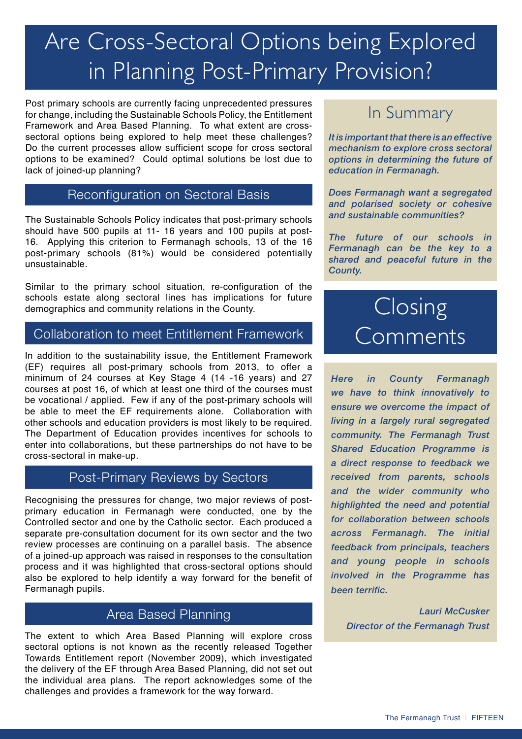## Are Cross-Sectoral Options being Explored in Planning Post-Primary Provision?

Post primary schools are currently facing unprecedented pressures for change, including the Sustainable Schools Policy, the Entitlement Framework and Area Based Planning. To what extent are crosssectoral options being explored to help meet these challenges? Do the current processes allow sufficient scope for cross sectoral options to be examined? Could optimal solutions be lost due to lack of joined-up planning?

#### Reconfiguration on Sectoral Basis

The Sustainable Schools Policy indicates that post-primary schools should have 500 pupils at 11- 16 years and 100 pupils at post-16. Applying this criterion to Fermanagh schools, 13 of the 16 post-primary schools (81%) would be considered potentially unsustainable.

Similar to the primary school situation, re-configuration of the schools estate along sectoral lines has implications for future demographics and community relations in the County.

#### Collaboration to meet Entitlement Framework

In addition to the sustainability issue, the Entitlement Framework (EF) requires all post-primary schools from 2013, to offer a minimum of 24 courses at Key Stage 4 (14 -16 years) and 27 courses at post 16, of which at least one third of the courses must be vocational / applied. Few if any of the post-primary schools will be able to meet the EF requirements alone. Collaboration with other schools and education providers is most likely to be required. The Department of Education provides incentives for schools to enter into collaborations, but these partnerships do not have to be cross-sectoral in make-up.

#### Post-Primary Reviews by Sectors

Recognising the pressures for change, two major reviews of postprimary education in Fermanagh were conducted, one by the Controlled sector and one by the Catholic sector. Each produced a separate pre-consultation document for its own sector and the two review processes are continuing on a parallel basis. The absence of a joined-up approach was raised in responses to the consultation process and it was highlighted that cross-sectoral options should also be explored to help identify a way forward for the benefit of Fermanagh pupils.

#### Area Based Planning

The extent to which Area Based Planning will explore cross sectoral options is not known as the recently released Together Towards Entitlement report (November 2009), which investigated the delivery of the EF through Area Based Planning, did not set out the individual area plans. The report acknowledges some of the challenges and provides a framework for the way forward.

#### In Summary

*It is important that there is an effective mechanism to explore cross sectoral options in determining the future of education in Fermanagh.* 

*Does Fermanagh want a segregated and polarised society or cohesive and sustainable communities?* 

*The future of our schools in Fermanagh can be the key to a shared and peaceful future in the County.* 

### **Closing** Comments

*Here in County Fermanagh we have to think innovatively to ensure we overcome the impact of living in a largely rural segregated community. The Fermanagh Trust Shared Education Programme is a direct response to feedback we received from parents, schools and the wider community who highlighted the need and potential for collaboration between schools across Fermanagh. The initial feedback from principals, teachers and young people in schools involved in the Programme has been terrific.*

*Lauri McCusker Director of the Fermanagh Trust*